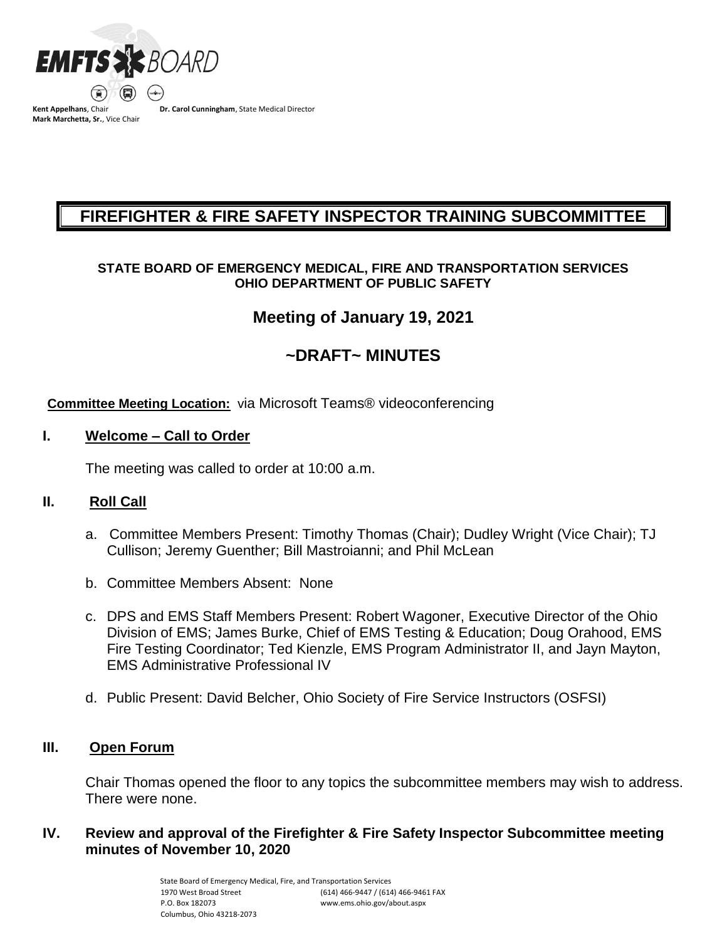

**Mark Marchetta, Sr.**, Vice Chair

**Dr. Carol Cunningham**, State Medical Director

# **FIREFIGHTER & FIRE SAFETY INSPECTOR TRAINING SUBCOMMITTEE**

# **STATE BOARD OF EMERGENCY MEDICAL, FIRE AND TRANSPORTATION SERVICES OHIO DEPARTMENT OF PUBLIC SAFETY**

# **Meeting of January 19, 2021**

# **~DRAFT~ MINUTES**

# **Committee Meeting Location:** via Microsoft Teams® videoconferencing

# **I. Welcome – Call to Order**

The meeting was called to order at 10:00 a.m.

# **II. Roll Call**

- a. Committee Members Present: Timothy Thomas (Chair); Dudley Wright (Vice Chair); TJ Cullison; Jeremy Guenther; Bill Mastroianni; and Phil McLean
- b. Committee Members Absent: None
- c. DPS and EMS Staff Members Present: Robert Wagoner, Executive Director of the Ohio Division of EMS; James Burke, Chief of EMS Testing & Education; Doug Orahood, EMS Fire Testing Coordinator; Ted Kienzle, EMS Program Administrator II, and Jayn Mayton, EMS Administrative Professional IV
- d. Public Present: David Belcher, Ohio Society of Fire Service Instructors (OSFSI)

# **III. Open Forum**

Chair Thomas opened the floor to any topics the subcommittee members may wish to address. There were none.

**IV. Review and approval of the Firefighter & Fire Safety Inspector Subcommittee meeting minutes of November 10, 2020**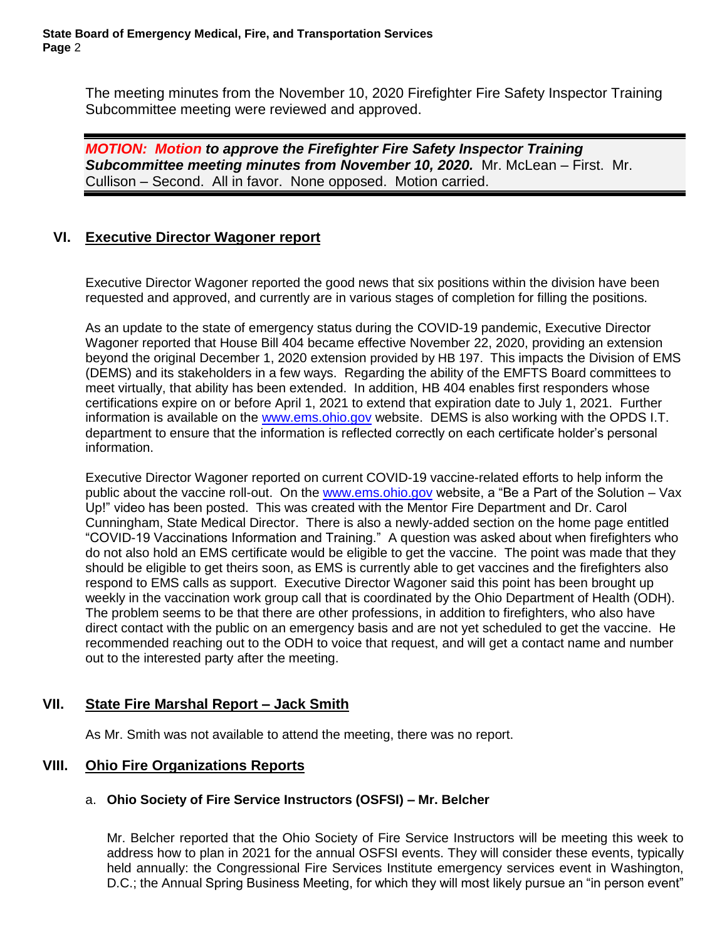The meeting minutes from the November 10, 2020 Firefighter Fire Safety Inspector Training Subcommittee meeting were reviewed and approved.

*MOTION: Motion to approve the Firefighter Fire Safety Inspector Training Subcommittee meeting minutes from November 10, 2020.*Mr. McLean – First. Mr. Cullison – Second. All in favor. None opposed. Motion carried.

# **VI. Executive Director Wagoner report**

Executive Director Wagoner reported the good news that six positions within the division have been requested and approved, and currently are in various stages of completion for filling the positions.

As an update to the state of emergency status during the COVID-19 pandemic, Executive Director Wagoner reported that House Bill 404 became effective November 22, 2020, providing an extension beyond the original December 1, 2020 extension provided by HB 197. This impacts the Division of EMS (DEMS) and its stakeholders in a few ways. Regarding the ability of the EMFTS Board committees to meet virtually, that ability has been extended. In addition, HB 404 enables first responders whose certifications expire on or before April 1, 2021 to extend that expiration date to July 1, 2021. Further information is available on the [www.ems.ohio.gov](http://www.ems.ohio.gov/) website. DEMS is also working with the OPDS I.T. department to ensure that the information is reflected correctly on each certificate holder's personal information.

Executive Director Wagoner reported on current COVID-19 vaccine-related efforts to help inform the public about the vaccine roll-out. On the [www.ems.ohio.gov](http://www.ems.ohio.gov/) website, a "Be a Part of the Solution – Vax Up!" video has been posted. This was created with the Mentor Fire Department and Dr. Carol Cunningham, State Medical Director. There is also a newly-added section on the home page entitled "COVID-19 Vaccinations Information and Training." A question was asked about when firefighters who do not also hold an EMS certificate would be eligible to get the vaccine. The point was made that they should be eligible to get theirs soon, as EMS is currently able to get vaccines and the firefighters also respond to EMS calls as support. Executive Director Wagoner said this point has been brought up weekly in the vaccination work group call that is coordinated by the Ohio Department of Health (ODH). The problem seems to be that there are other professions, in addition to firefighters, who also have direct contact with the public on an emergency basis and are not yet scheduled to get the vaccine. He recommended reaching out to the ODH to voice that request, and will get a contact name and number out to the interested party after the meeting.

# **VII. State Fire Marshal Report – Jack Smith**

As Mr. Smith was not available to attend the meeting, there was no report.

# **VIII. Ohio Fire Organizations Reports**

# a. **Ohio Society of Fire Service Instructors (OSFSI) – Mr. Belcher**

Mr. Belcher reported that the Ohio Society of Fire Service Instructors will be meeting this week to address how to plan in 2021 for the annual OSFSI events. They will consider these events, typically held annually: the Congressional Fire Services Institute emergency services event in Washington, D.C.; the Annual Spring Business Meeting, for which they will most likely pursue an "in person event"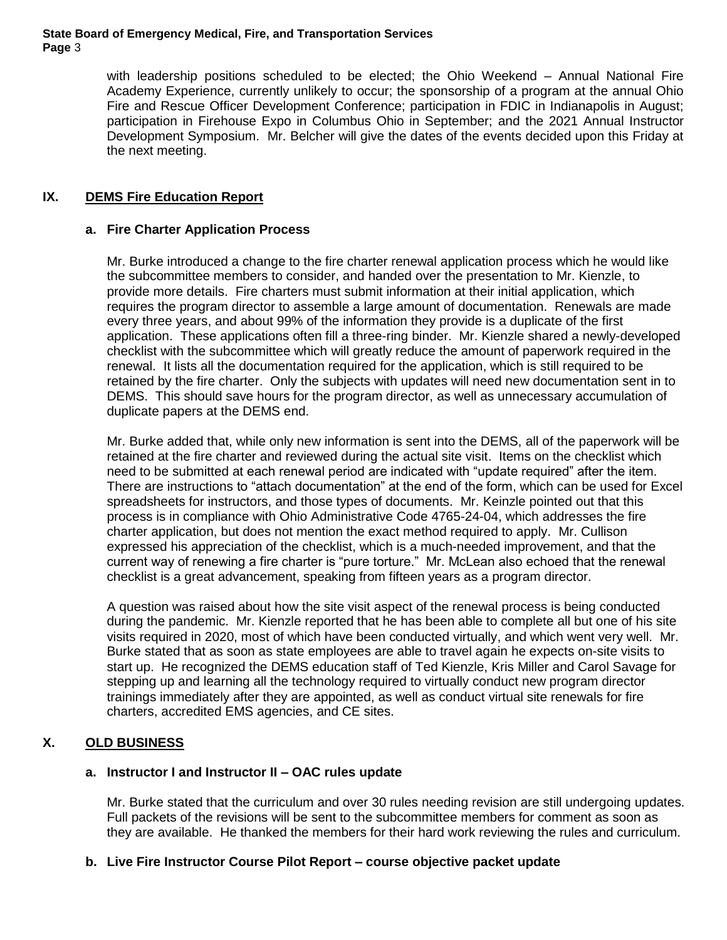#### **State Board of Emergency Medical, Fire, and Transportation Services Page** 3

with leadership positions scheduled to be elected; the Ohio Weekend – Annual National Fire Academy Experience, currently unlikely to occur; the sponsorship of a program at the annual Ohio Fire and Rescue Officer Development Conference; participation in FDIC in Indianapolis in August; participation in Firehouse Expo in Columbus Ohio in September; and the 2021 Annual Instructor Development Symposium. Mr. Belcher will give the dates of the events decided upon this Friday at the next meeting.

### **IX. DEMS Fire Education Report**

### **a. Fire Charter Application Process**

Mr. Burke introduced a change to the fire charter renewal application process which he would like the subcommittee members to consider, and handed over the presentation to Mr. Kienzle, to provide more details. Fire charters must submit information at their initial application, which requires the program director to assemble a large amount of documentation. Renewals are made every three years, and about 99% of the information they provide is a duplicate of the first application. These applications often fill a three-ring binder. Mr. Kienzle shared a newly-developed checklist with the subcommittee which will greatly reduce the amount of paperwork required in the renewal. It lists all the documentation required for the application, which is still required to be retained by the fire charter. Only the subjects with updates will need new documentation sent in to DEMS. This should save hours for the program director, as well as unnecessary accumulation of duplicate papers at the DEMS end.

Mr. Burke added that, while only new information is sent into the DEMS, all of the paperwork will be retained at the fire charter and reviewed during the actual site visit. Items on the checklist which need to be submitted at each renewal period are indicated with "update required" after the item. There are instructions to "attach documentation" at the end of the form, which can be used for Excel spreadsheets for instructors, and those types of documents. Mr. Keinzle pointed out that this process is in compliance with Ohio Administrative Code 4765-24-04, which addresses the fire charter application, but does not mention the exact method required to apply. Mr. Cullison expressed his appreciation of the checklist, which is a much-needed improvement, and that the current way of renewing a fire charter is "pure torture." Mr. McLean also echoed that the renewal checklist is a great advancement, speaking from fifteen years as a program director.

A question was raised about how the site visit aspect of the renewal process is being conducted during the pandemic. Mr. Kienzle reported that he has been able to complete all but one of his site visits required in 2020, most of which have been conducted virtually, and which went very well. Mr. Burke stated that as soon as state employees are able to travel again he expects on-site visits to start up. He recognized the DEMS education staff of Ted Kienzle, Kris Miller and Carol Savage for stepping up and learning all the technology required to virtually conduct new program director trainings immediately after they are appointed, as well as conduct virtual site renewals for fire charters, accredited EMS agencies, and CE sites.

# **X. OLD BUSINESS**

### **a. Instructor I and Instructor II – OAC rules update**

Mr. Burke stated that the curriculum and over 30 rules needing revision are still undergoing updates. Full packets of the revisions will be sent to the subcommittee members for comment as soon as they are available. He thanked the members for their hard work reviewing the rules and curriculum.

### **b. Live Fire Instructor Course Pilot Report – course objective packet update**